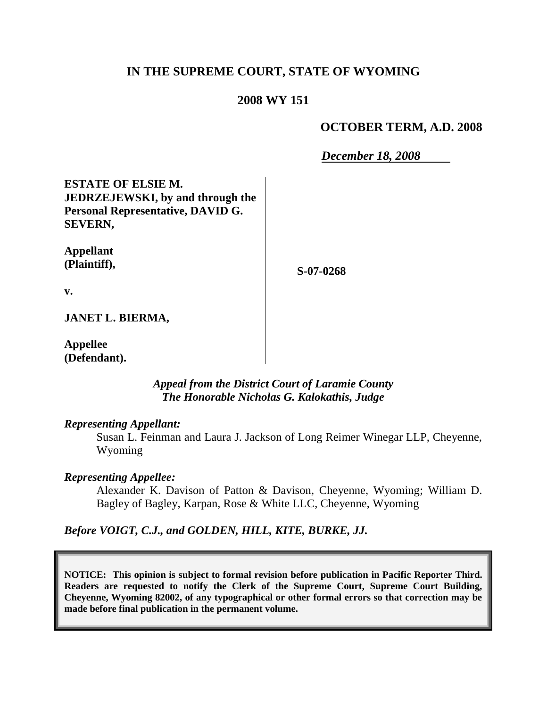# **IN THE SUPREME COURT, STATE OF WYOMING**

### **2008 WY 151**

### **OCTOBER TERM, A.D. 2008**

*December 18, 2008*

**ESTATE OF ELSIE M. JEDRZEJEWSKI, by and through the Personal Representative, DAVID G. SEVERN,**

**Appellant (Plaintiff),**

**S-07-0268**

**v.**

**JANET L. BIERMA,**

**Appellee (Defendant).**

> *Appeal from the District Court of Laramie County The Honorable Nicholas G. Kalokathis, Judge*

#### *Representing Appellant:*

Susan L. Feinman and Laura J. Jackson of Long Reimer Winegar LLP, Cheyenne, Wyoming

#### *Representing Appellee:*

Alexander K. Davison of Patton & Davison, Cheyenne, Wyoming; William D. Bagley of Bagley, Karpan, Rose & White LLC, Cheyenne, Wyoming

*Before VOIGT, C.J., and GOLDEN, HILL, KITE, BURKE, JJ.*

**NOTICE: This opinion is subject to formal revision before publication in Pacific Reporter Third. Readers are requested to notify the Clerk of the Supreme Court, Supreme Court Building, Cheyenne, Wyoming 82002, of any typographical or other formal errors so that correction may be made before final publication in the permanent volume.**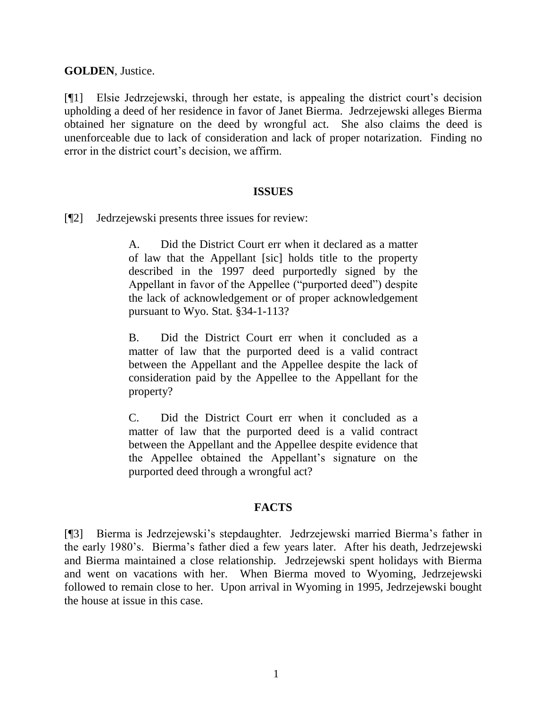**GOLDEN**, Justice.

[¶1] Elsie Jedrzejewski, through her estate, is appealing the district court's decision upholding a deed of her residence in favor of Janet Bierma. Jedrzejewski alleges Bierma obtained her signature on the deed by wrongful act. She also claims the deed is unenforceable due to lack of consideration and lack of proper notarization. Finding no error in the district court's decision, we affirm.

#### **ISSUES**

[¶2] Jedrzejewski presents three issues for review:

A. Did the District Court err when it declared as a matter of law that the Appellant [sic] holds title to the property described in the 1997 deed purportedly signed by the Appellant in favor of the Appellee ("purported deed") despite the lack of acknowledgement or of proper acknowledgement pursuant to Wyo. Stat. §34-1-113?

B. Did the District Court err when it concluded as a matter of law that the purported deed is a valid contract between the Appellant and the Appellee despite the lack of consideration paid by the Appellee to the Appellant for the property?

C. Did the District Court err when it concluded as a matter of law that the purported deed is a valid contract between the Appellant and the Appellee despite evidence that the Appellee obtained the Appellant"s signature on the purported deed through a wrongful act?

## **FACTS**

[¶3] Bierma is Jedrzejewski"s stepdaughter. Jedrzejewski married Bierma"s father in the early 1980"s. Bierma"s father died a few years later. After his death, Jedrzejewski and Bierma maintained a close relationship. Jedrzejewski spent holidays with Bierma and went on vacations with her. When Bierma moved to Wyoming, Jedrzejewski followed to remain close to her. Upon arrival in Wyoming in 1995, Jedrzejewski bought the house at issue in this case.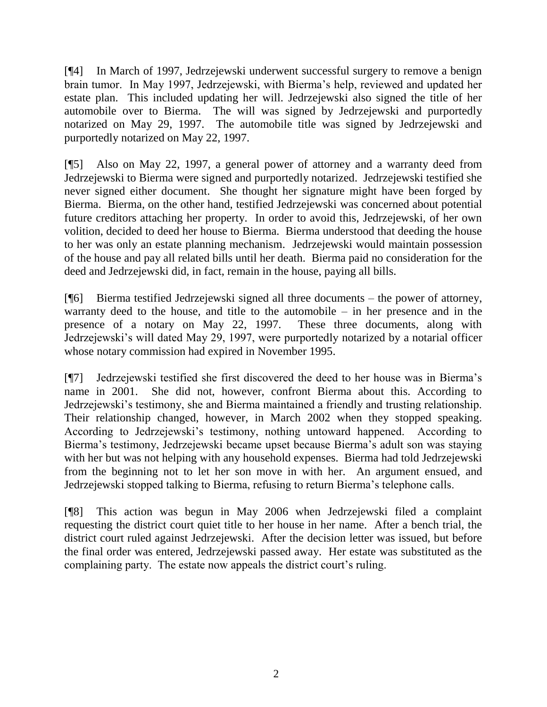[¶4] In March of 1997, Jedrzejewski underwent successful surgery to remove a benign brain tumor. In May 1997, Jedrzejewski, with Bierma"s help, reviewed and updated her estate plan. This included updating her will. Jedrzejewski also signed the title of her automobile over to Bierma. The will was signed by Jedrzejewski and purportedly notarized on May 29, 1997. The automobile title was signed by Jedrzejewski and purportedly notarized on May 22, 1997.

[¶5] Also on May 22, 1997, a general power of attorney and a warranty deed from Jedrzejewski to Bierma were signed and purportedly notarized. Jedrzejewski testified she never signed either document. She thought her signature might have been forged by Bierma. Bierma, on the other hand, testified Jedrzejewski was concerned about potential future creditors attaching her property. In order to avoid this, Jedrzejewski, of her own volition, decided to deed her house to Bierma. Bierma understood that deeding the house to her was only an estate planning mechanism. Jedrzejewski would maintain possession of the house and pay all related bills until her death. Bierma paid no consideration for the deed and Jedrzejewski did, in fact, remain in the house, paying all bills.

[¶6] Bierma testified Jedrzejewski signed all three documents – the power of attorney, warranty deed to the house, and title to the automobile – in her presence and in the presence of a notary on May 22, 1997. These three documents, along with Jedrzejewski's will dated May 29, 1997, were purportedly notarized by a notarial officer whose notary commission had expired in November 1995.

[¶7] Jedrzejewski testified she first discovered the deed to her house was in Bierma"s name in 2001. She did not, however, confront Bierma about this. According to Jedrzejewski"s testimony, she and Bierma maintained a friendly and trusting relationship. Their relationship changed, however, in March 2002 when they stopped speaking. According to Jedrzejewski"s testimony, nothing untoward happened. According to Bierma"s testimony, Jedrzejewski became upset because Bierma"s adult son was staying with her but was not helping with any household expenses. Bierma had told Jedrzejewski from the beginning not to let her son move in with her. An argument ensued, and Jedrzejewski stopped talking to Bierma, refusing to return Bierma"s telephone calls.

[¶8] This action was begun in May 2006 when Jedrzejewski filed a complaint requesting the district court quiet title to her house in her name. After a bench trial, the district court ruled against Jedrzejewski. After the decision letter was issued, but before the final order was entered, Jedrzejewski passed away. Her estate was substituted as the complaining party. The estate now appeals the district court's ruling.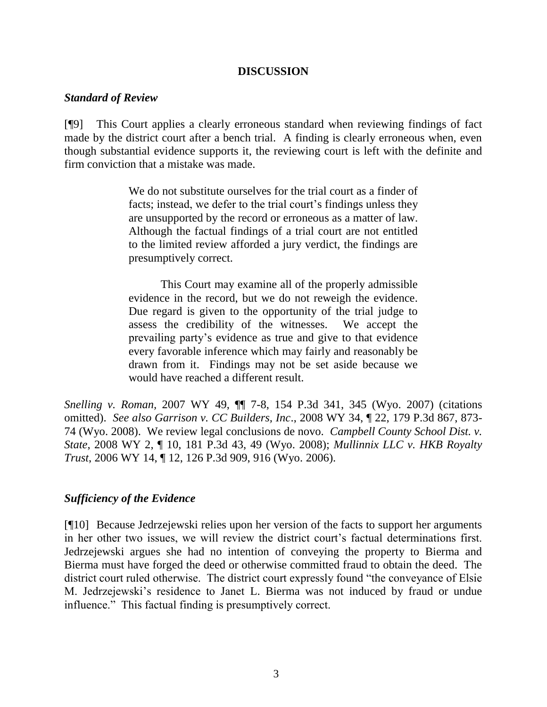#### **DISCUSSION**

### *Standard of Review*

[¶9] This Court applies a clearly erroneous standard when reviewing findings of fact made by the district court after a bench trial. A finding is clearly erroneous when, even though substantial evidence supports it, the reviewing court is left with the definite and firm conviction that a mistake was made.

> We do not substitute ourselves for the trial court as a finder of facts; instead, we defer to the trial court's findings unless they are unsupported by the record or erroneous as a matter of law. Although the factual findings of a trial court are not entitled to the limited review afforded a jury verdict, the findings are presumptively correct.

> This Court may examine all of the properly admissible evidence in the record, but we do not reweigh the evidence. Due regard is given to the opportunity of the trial judge to assess the credibility of the witnesses. We accept the prevailing party"s evidence as true and give to that evidence every favorable inference which may fairly and reasonably be drawn from it. Findings may not be set aside because we would have reached a different result.

*Snelling v. Roman,* 2007 WY 49, ¶¶ 7-8, 154 P.3d 341, 345 (Wyo. 2007) (citations omitted). *See also Garrison v. CC Builders, Inc*., 2008 WY 34, ¶ 22, 179 P.3d 867, 873- 74 (Wyo. 2008). We review legal conclusions de novo. *Campbell County School Dist. v. State*, 2008 WY 2, ¶ 10, 181 P.3d 43, 49 (Wyo. 2008); *Mullinnix LLC v. HKB Royalty Trust*, 2006 WY 14, ¶ 12, 126 P.3d 909, 916 (Wyo. 2006).

## *Sufficiency of the Evidence*

[¶10] Because Jedrzejewski relies upon her version of the facts to support her arguments in her other two issues, we will review the district court's factual determinations first. Jedrzejewski argues she had no intention of conveying the property to Bierma and Bierma must have forged the deed or otherwise committed fraud to obtain the deed. The district court ruled otherwise. The district court expressly found "the conveyance of Elsie M. Jedrzejewski"s residence to Janet L. Bierma was not induced by fraud or undue influence." This factual finding is presumptively correct.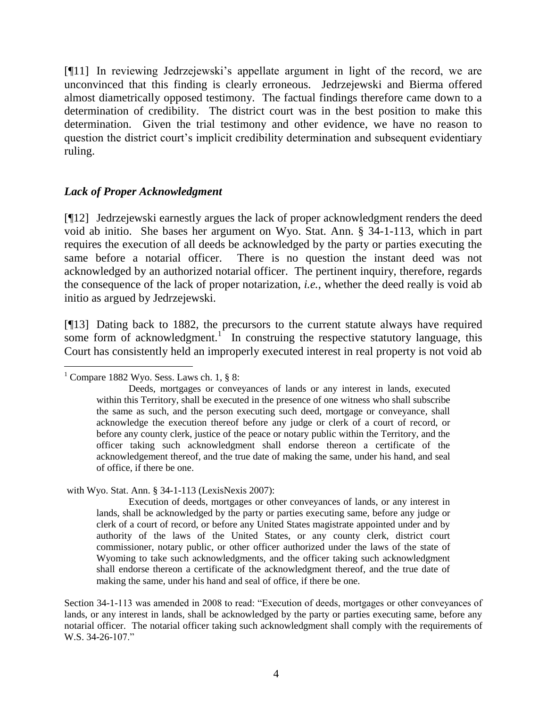[¶11] In reviewing Jedrzejewski"s appellate argument in light of the record, we are unconvinced that this finding is clearly erroneous. Jedrzejewski and Bierma offered almost diametrically opposed testimony. The factual findings therefore came down to a determination of credibility. The district court was in the best position to make this determination. Given the trial testimony and other evidence, we have no reason to question the district court"s implicit credibility determination and subsequent evidentiary ruling.

### *Lack of Proper Acknowledgment*

[¶12] Jedrzejewski earnestly argues the lack of proper acknowledgment renders the deed void ab initio. She bases her argument on Wyo. Stat. Ann. § 34-1-113, which in part requires the execution of all deeds be acknowledged by the party or parties executing the same before a notarial officer. There is no question the instant deed was not acknowledged by an authorized notarial officer. The pertinent inquiry, therefore, regards the consequence of the lack of proper notarization, *i.e.*, whether the deed really is void ab initio as argued by Jedrzejewski.

[¶13] Dating back to 1882, the precursors to the current statute always have required some form of acknowledgment.<sup>1</sup> In construing the respective statutory language, this Court has consistently held an improperly executed interest in real property is not void ab

with Wyo. Stat. Ann. § 34-1-113 (LexisNexis 2007):

Execution of deeds, mortgages or other conveyances of lands, or any interest in lands, shall be acknowledged by the party or parties executing same, before any judge or clerk of a court of record, or before any United States magistrate appointed under and by authority of the laws of the United States, or any county clerk, district court commissioner, notary public, or other officer authorized under the laws of the state of Wyoming to take such acknowledgments, and the officer taking such acknowledgment shall endorse thereon a certificate of the acknowledgment thereof, and the true date of making the same, under his hand and seal of office, if there be one.

Section 34-1-113 was amended in 2008 to read: "Execution of deeds, mortgages or other conveyances of lands, or any interest in lands, shall be acknowledged by the party or parties executing same, before any notarial officer. The notarial officer taking such acknowledgment shall comply with the requirements of W.S. 34-26-107."

<sup>&</sup>lt;sup>1</sup> Compare 1882 Wyo. Sess. Laws ch. 1,  $\S$  8:

Deeds, mortgages or conveyances of lands or any interest in lands, executed within this Territory, shall be executed in the presence of one witness who shall subscribe the same as such, and the person executing such deed, mortgage or conveyance, shall acknowledge the execution thereof before any judge or clerk of a court of record, or before any county clerk, justice of the peace or notary public within the Territory, and the officer taking such acknowledgment shall endorse thereon a certificate of the acknowledgement thereof, and the true date of making the same, under his hand, and seal of office, if there be one.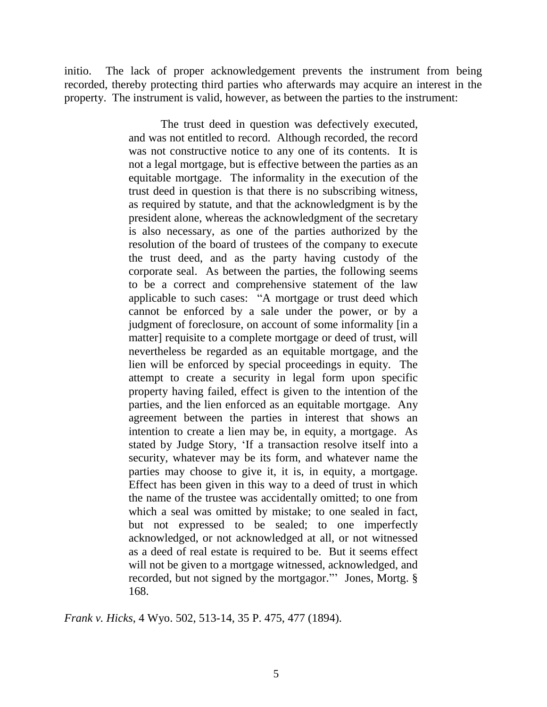initio. The lack of proper acknowledgement prevents the instrument from being recorded, thereby protecting third parties who afterwards may acquire an interest in the property. The instrument is valid, however, as between the parties to the instrument:

> The trust deed in question was defectively executed, and was not entitled to record. Although recorded, the record was not constructive notice to any one of its contents. It is not a legal mortgage, but is effective between the parties as an equitable mortgage. The informality in the execution of the trust deed in question is that there is no subscribing witness, as required by statute, and that the acknowledgment is by the president alone, whereas the acknowledgment of the secretary is also necessary, as one of the parties authorized by the resolution of the board of trustees of the company to execute the trust deed, and as the party having custody of the corporate seal. As between the parties, the following seems to be a correct and comprehensive statement of the law applicable to such cases: "A mortgage or trust deed which cannot be enforced by a sale under the power, or by a judgment of foreclosure, on account of some informality [in a matter] requisite to a complete mortgage or deed of trust, will nevertheless be regarded as an equitable mortgage, and the lien will be enforced by special proceedings in equity. The attempt to create a security in legal form upon specific property having failed, effect is given to the intention of the parties, and the lien enforced as an equitable mortgage. Any agreement between the parties in interest that shows an intention to create a lien may be, in equity, a mortgage. As stated by Judge Story, "If a transaction resolve itself into a security, whatever may be its form, and whatever name the parties may choose to give it, it is, in equity, a mortgage. Effect has been given in this way to a deed of trust in which the name of the trustee was accidentally omitted; to one from which a seal was omitted by mistake; to one sealed in fact, but not expressed to be sealed; to one imperfectly acknowledged, or not acknowledged at all, or not witnessed as a deed of real estate is required to be. But it seems effect will not be given to a mortgage witnessed, acknowledged, and recorded, but not signed by the mortgagor."" Jones, Mortg. § 168.

*Frank v. Hicks*, 4 Wyo. 502, 513-14, 35 P. 475, 477 (1894).